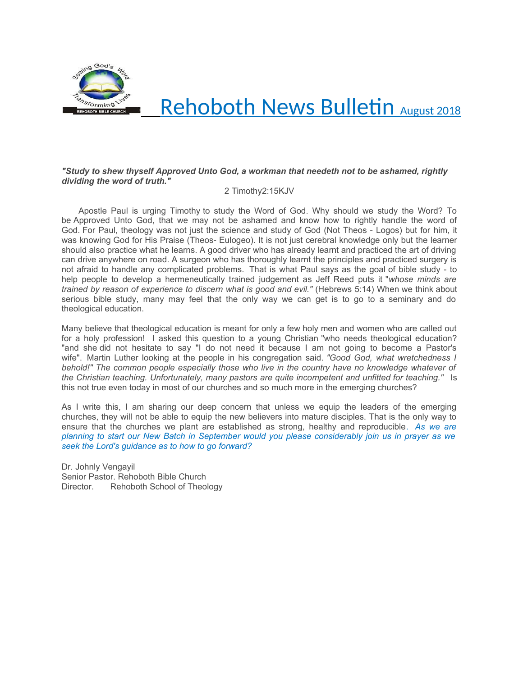

# Rehoboth News Bulletin August 2018

#### *"Study to shew thyself Approved Unto God, a workman that needeth not to be ashamed, rightly dividing the word of truth."*

2 Timothy2:15KJV

 Apostle Paul is urging Timothy to study the Word of God. Why should we study the Word? To be Approved Unto God, that we may not be ashamed and know how to rightly handle the word of God. For Paul, theology was not just the science and study of God (Not Theos - Logos) but for him, it was knowing God for His Praise (Theos- Eulogeo). It is not just cerebral knowledge only but the learner should also practice what he learns. A good driver who has already learnt and practiced the art of driving can drive anywhere on road. A surgeon who has thoroughly learnt the principles and practiced surgery is not afraid to handle any complicated problems. That is what Paul says as the goal of bible study - to help people to develop a hermeneutically trained judgement as Jeff Reed puts it "*whose minds are trained by reason of experience to discern what is good and evil."* (Hebrews 5:14) When we think about serious bible study, many may feel that the only way we can get is to go to a seminary and do theological education.

Many believe that theological education is meant for only a few holy men and women who are called out for a holy profession! I asked this question to a young Christian "who needs theological education? "and she did not hesitate to say "I do not need it because I am not going to become a Pastor's wife". Martin Luther looking at the people in his congregation said. *"Good God, what wretchedness I behold!" The common people especially those who live in the country have no knowledge whatever of the Christian teaching. Unfortunately, many pastors are quite incompetent and unfitted for teaching."* Is this not true even today in most of our churches and so much more in the emerging churches?

As I write this, I am sharing our deep concern that unless we equip the leaders of the emerging churches, they will not be able to equip the new believers into mature disciples. That is the only way to ensure that the churches we plant are established as strong, healthy and reproducible. *As we are planning to start our New Batch in September would you please considerably join us in prayer as we seek the Lord's guidance as to how to go forward?*

Dr. Johnly Vengayil Senior Pastor. Rehoboth Bible Church Director. Rehoboth School of Theology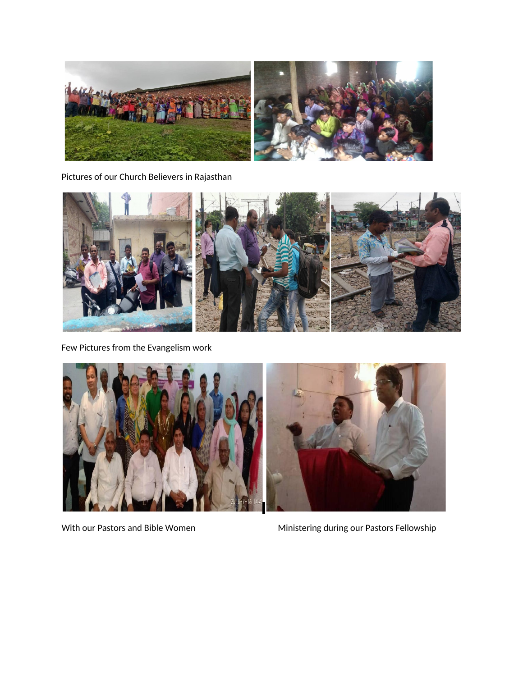

Pictures of our Church Believers in Rajasthan



Few Pictures from the Evangelism work



With our Pastors and Bible Women Ministering during our Pastors Fellowship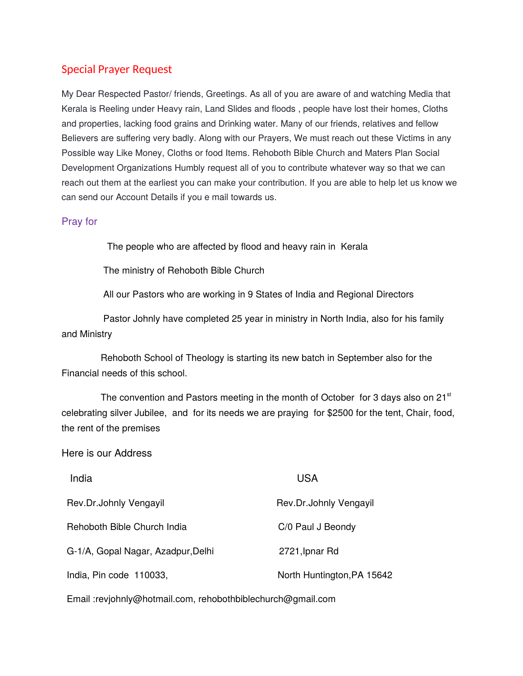## Special Prayer Request

My Dear Respected Pastor/ friends, Greetings. As all of you are aware of and watching Media that Kerala is Reeling under Heavy rain, Land Slides and floods , people have lost their homes, Cloths and properties, lacking food grains and Drinking water. Many of our friends, relatives and fellow Believers are suffering very badly. Along with our Prayers, We must reach out these Victims in any Possible way Like Money, Cloths or food Items. Rehoboth Bible Church and Maters Plan Social Development Organizations Humbly request all of you to contribute whatever way so that we can reach out them at the earliest you can make your contribution. If you are able to help let us know we can send our Account Details if you e mail towards us.

## Pray for

The people who are affected by flood and heavy rain in Kerala

The ministry of Rehoboth Bible Church

All our Pastors who are working in 9 States of India and Regional Directors

 Pastor Johnly have completed 25 year in ministry in North India, also for his family and Ministry

 Rehoboth School of Theology is starting its new batch in September also for the Financial needs of this school.

The convention and Pastors meeting in the month of October for 3 days also on  $21<sup>st</sup>$ celebrating silver Jubilee, and for its needs we are praying for \$2500 for the tent, Chair, food, the rent of the premises

### Here is our Address

| India                              | USA                        |
|------------------------------------|----------------------------|
| Rev.Dr.Johnly Vengayil             | Rev.Dr.Johnly Vengayil     |
| Rehoboth Bible Church India        | C/0 Paul J Beondy          |
| G-1/A, Gopal Nagar, Azadpur, Delhi | 2721, Ipnar Rd             |
| India, Pin code 110033,            | North Huntington, PA 15642 |

Email :revjohnly@hotmail.com, rehobothbiblechurch@gmail.com